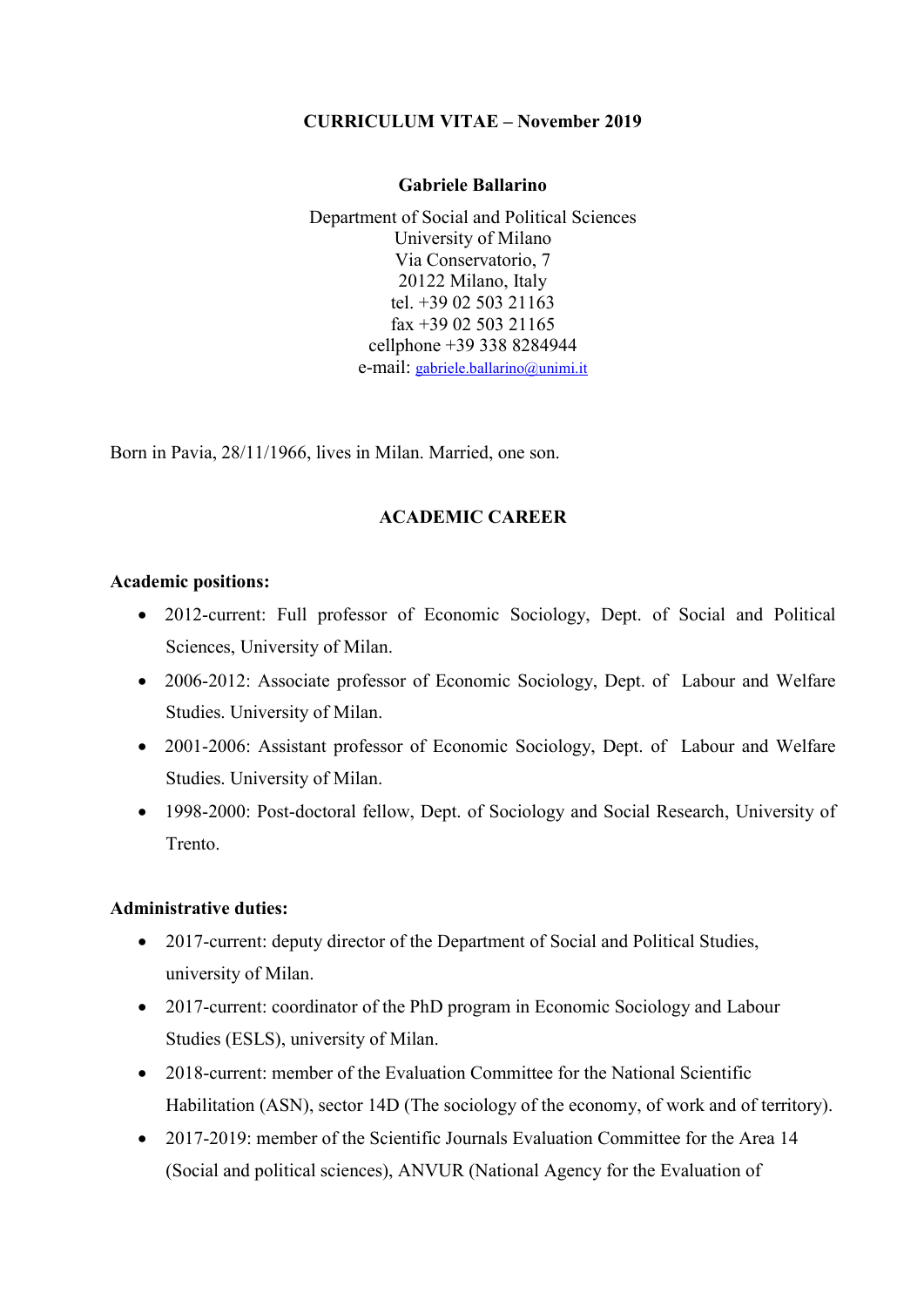# CURRICULUM VITAE – November 2019

#### Gabriele Ballarino

Department of Social and Political Sciences University of Milano Via Conservatorio, 7 20122 Milano, Italy tel. +39 02 503 21163 fax +39 02 503 21165 cellphone +39 338 8284944 e-mail: gabriele.ballarino@unimi.it

Born in Pavia, 28/11/1966, lives in Milan. Married, one son.

## ACADEMIC CAREER

#### Academic positions:

- 2012-current: Full professor of Economic Sociology, Dept. of Social and Political Sciences, University of Milan.
- 2006-2012: Associate professor of Economic Sociology, Dept. of Labour and Welfare Studies. University of Milan.
- 2001-2006: Assistant professor of Economic Sociology, Dept. of Labour and Welfare Studies. University of Milan.
- 1998-2000: Post-doctoral fellow, Dept. of Sociology and Social Research, University of Trento.

## Administrative duties:

- 2017-current: deputy director of the Department of Social and Political Studies, university of Milan.
- 2017-current: coordinator of the PhD program in Economic Sociology and Labour Studies (ESLS), university of Milan.
- 2018-current: member of the Evaluation Committee for the National Scientific Habilitation (ASN), sector 14D (The sociology of the economy, of work and of territory).
- 2017-2019: member of the Scientific Journals Evaluation Committee for the Area 14 (Social and political sciences), ANVUR (National Agency for the Evaluation of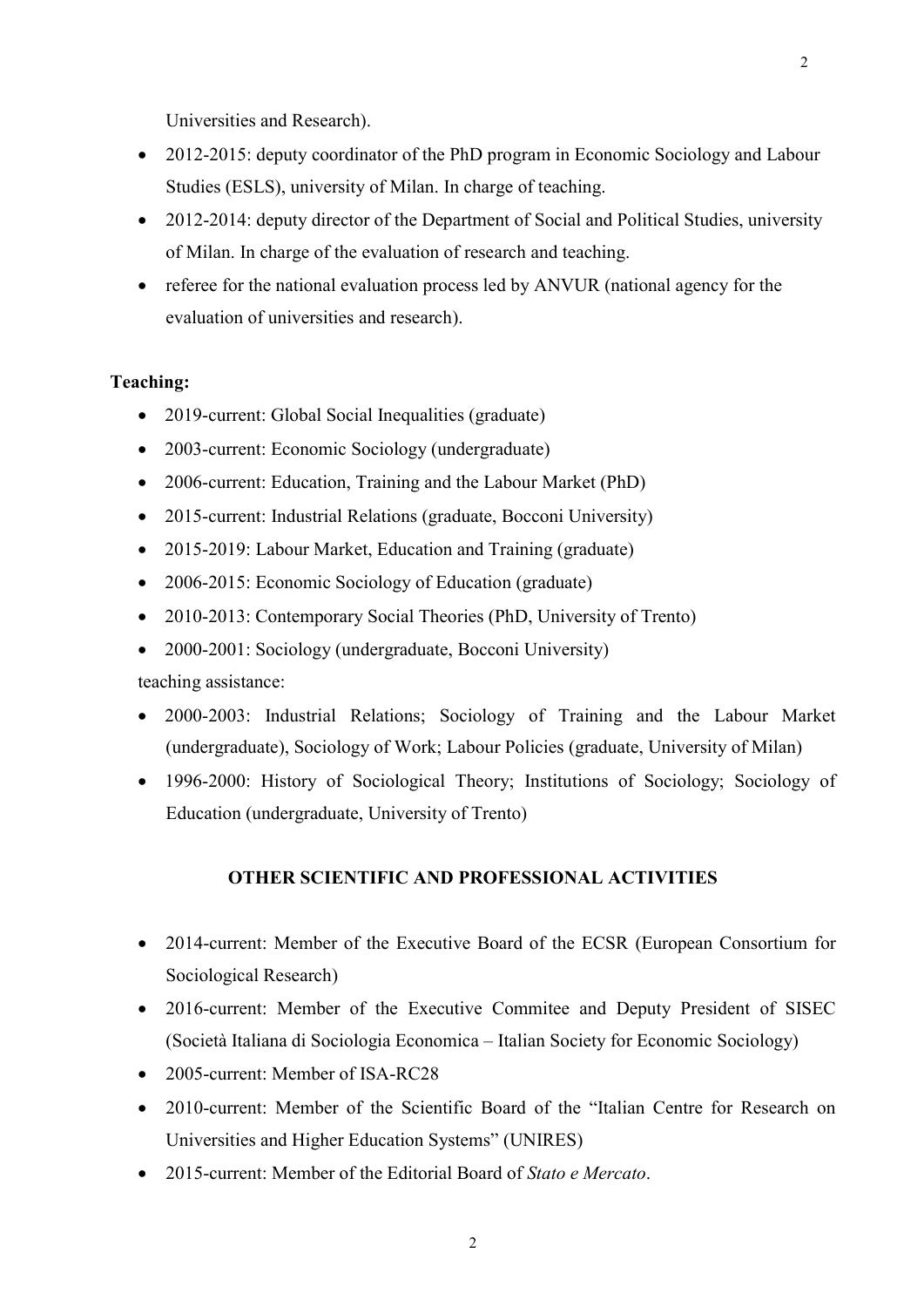Universities and Research).

- 2012-2015: deputy coordinator of the PhD program in Economic Sociology and Labour Studies (ESLS), university of Milan. In charge of teaching.
- 2012-2014: deputy director of the Department of Social and Political Studies, university of Milan. In charge of the evaluation of research and teaching.
- referee for the national evaluation process led by ANVUR (national agency for the evaluation of universities and research).

#### Teaching:

- 2019-current: Global Social Inequalities (graduate)
- 2003-current: Economic Sociology (undergraduate)
- 2006-current: Education, Training and the Labour Market (PhD)
- 2015-current: Industrial Relations (graduate, Bocconi University)
- 2015-2019: Labour Market, Education and Training (graduate)
- 2006-2015: Economic Sociology of Education (graduate)
- 2010-2013: Contemporary Social Theories (PhD, University of Trento)
- 2000-2001: Sociology (undergraduate, Bocconi University)

teaching assistance:

- 2000-2003: Industrial Relations; Sociology of Training and the Labour Market (undergraduate), Sociology of Work; Labour Policies (graduate, University of Milan)
- 1996-2000: History of Sociological Theory; Institutions of Sociology; Sociology of Education (undergraduate, University of Trento)

#### OTHER SCIENTIFIC AND PROFESSIONAL ACTIVITIES

- 2014-current: Member of the Executive Board of the ECSR (European Consortium for Sociological Research)
- 2016-current: Member of the Executive Commitee and Deputy President of SISEC (Società Italiana di Sociologia Economica – Italian Society for Economic Sociology)
- 2005-current: Member of ISA-RC28
- 2010-current: Member of the Scientific Board of the "Italian Centre for Research on Universities and Higher Education Systems" (UNIRES)
- 2015-current: Member of the Editorial Board of Stato e Mercato.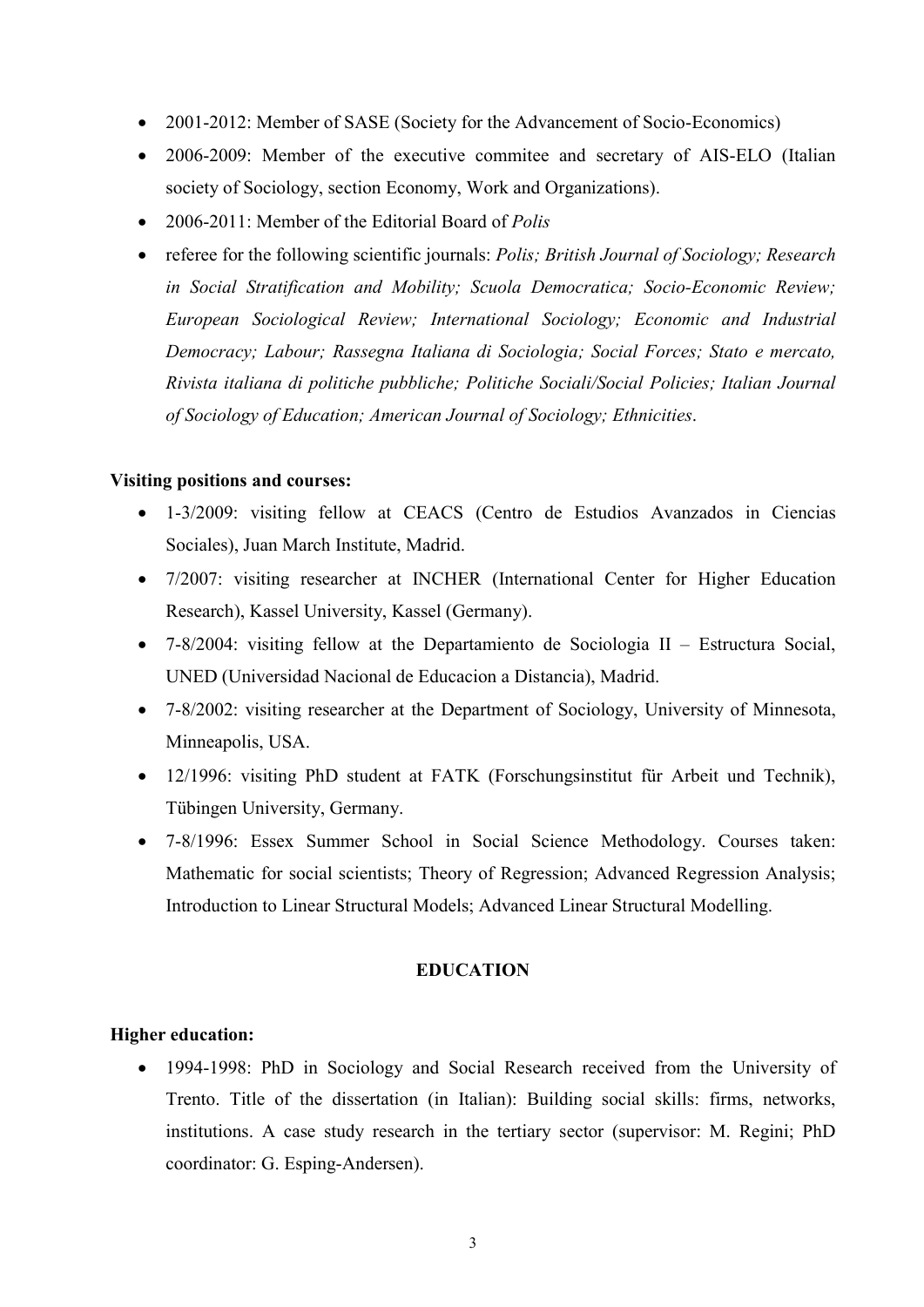- 2001-2012: Member of SASE (Society for the Advancement of Socio-Economics)
- 2006-2009: Member of the executive commitee and secretary of AIS-ELO (Italian society of Sociology, section Economy, Work and Organizations).
- 2006-2011: Member of the Editorial Board of *Polis*
- referee for the following scientific journals: *Polis; British Journal of Sociology; Research* in Social Stratification and Mobility; Scuola Democratica; Socio-Economic Review; European Sociological Review; International Sociology; Economic and Industrial Democracy; Labour; Rassegna Italiana di Sociologia; Social Forces; Stato e mercato, Rivista italiana di politiche pubbliche; Politiche Sociali/Social Policies; Italian Journal of Sociology of Education; American Journal of Sociology; Ethnicities.

### Visiting positions and courses:

- 1-3/2009: visiting fellow at CEACS (Centro de Estudios Avanzados in Ciencias Sociales), Juan March Institute, Madrid.
- 7/2007: visiting researcher at INCHER (International Center for Higher Education Research), Kassel University, Kassel (Germany).
- 7-8/2004: visiting fellow at the Departamiento de Sociologia II Estructura Social, UNED (Universidad Nacional de Educacion a Distancia), Madrid.
- 7-8/2002: visiting researcher at the Department of Sociology, University of Minnesota, Minneapolis, USA.
- 12/1996: visiting PhD student at FATK (Forschungsinstitut für Arbeit und Technik), Tübingen University, Germany.
- 7-8/1996: Essex Summer School in Social Science Methodology. Courses taken: Mathematic for social scientists; Theory of Regression; Advanced Regression Analysis; Introduction to Linear Structural Models; Advanced Linear Structural Modelling.

### EDUCATION

### Higher education:

 1994-1998: PhD in Sociology and Social Research received from the University of Trento. Title of the dissertation (in Italian): Building social skills: firms, networks, institutions. A case study research in the tertiary sector (supervisor: M. Regini; PhD coordinator: G. Esping-Andersen).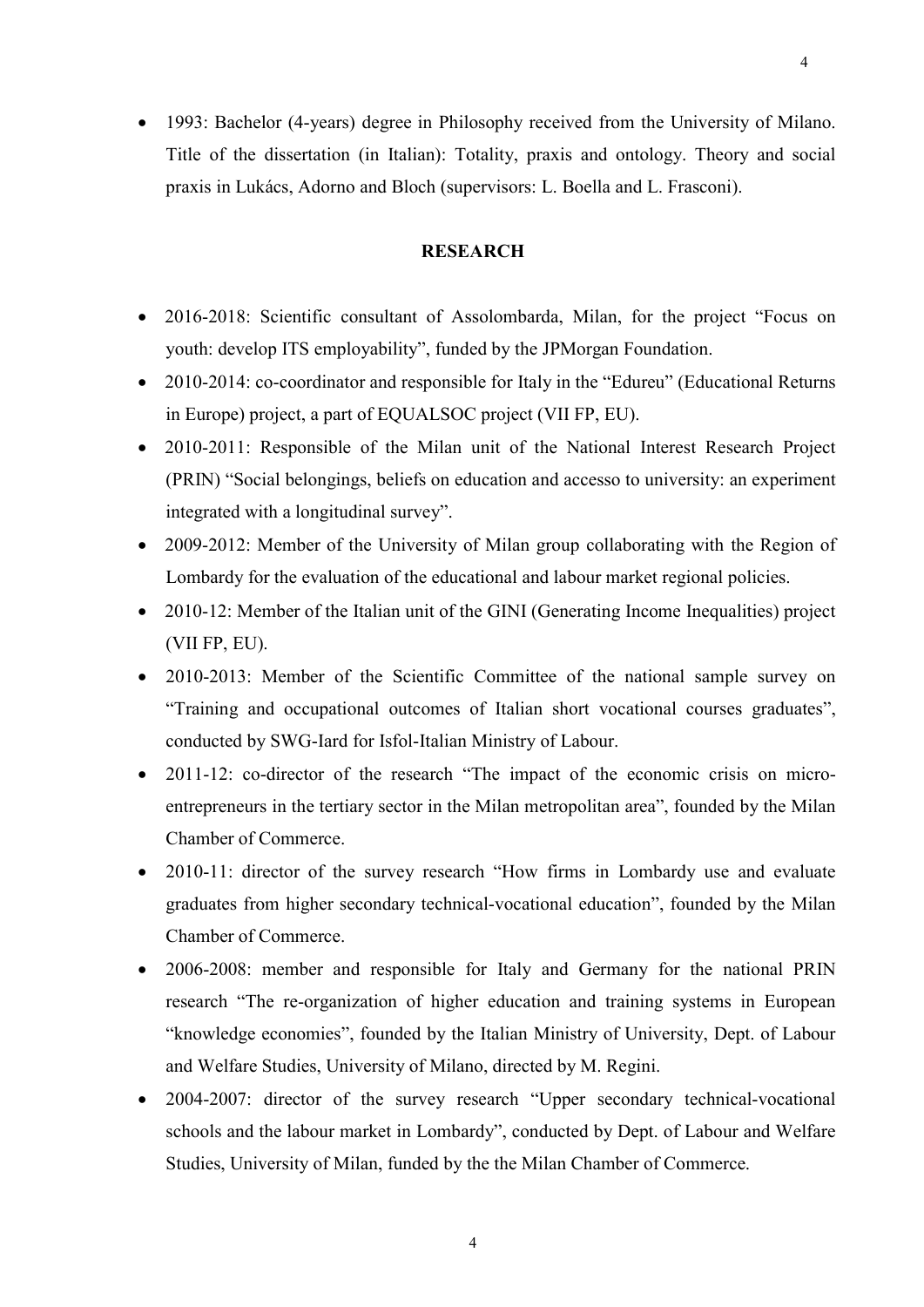1993: Bachelor (4-years) degree in Philosophy received from the University of Milano. Title of the dissertation (in Italian): Totality, praxis and ontology. Theory and social praxis in Lukács, Adorno and Bloch (supervisors: L. Boella and L. Frasconi).

### **RESEARCH**

- 2016-2018: Scientific consultant of Assolombarda, Milan, for the project "Focus on youth: develop ITS employability", funded by the JPMorgan Foundation.
- 2010-2014: co-coordinator and responsible for Italy in the "Edureu" (Educational Returns in Europe) project, a part of EQUALSOC project (VII FP, EU).
- 2010-2011: Responsible of the Milan unit of the National Interest Research Project (PRIN) "Social belongings, beliefs on education and accesso to university: an experiment integrated with a longitudinal survey".
- 2009-2012: Member of the University of Milan group collaborating with the Region of Lombardy for the evaluation of the educational and labour market regional policies.
- 2010-12: Member of the Italian unit of the GINI (Generating Income Inequalities) project (VII FP, EU).
- 2010-2013: Member of the Scientific Committee of the national sample survey on "Training and occupational outcomes of Italian short vocational courses graduates", conducted by SWG-Iard for Isfol-Italian Ministry of Labour.
- 2011-12: co-director of the research "The impact of the economic crisis on microentrepreneurs in the tertiary sector in the Milan metropolitan area", founded by the Milan Chamber of Commerce.
- 2010-11: director of the survey research "How firms in Lombardy use and evaluate graduates from higher secondary technical-vocational education", founded by the Milan Chamber of Commerce.
- 2006-2008: member and responsible for Italy and Germany for the national PRIN research "The re-organization of higher education and training systems in European "knowledge economies", founded by the Italian Ministry of University, Dept. of Labour and Welfare Studies, University of Milano, directed by M. Regini.
- 2004-2007: director of the survey research "Upper secondary technical-vocational schools and the labour market in Lombardy", conducted by Dept. of Labour and Welfare Studies, University of Milan, funded by the the Milan Chamber of Commerce.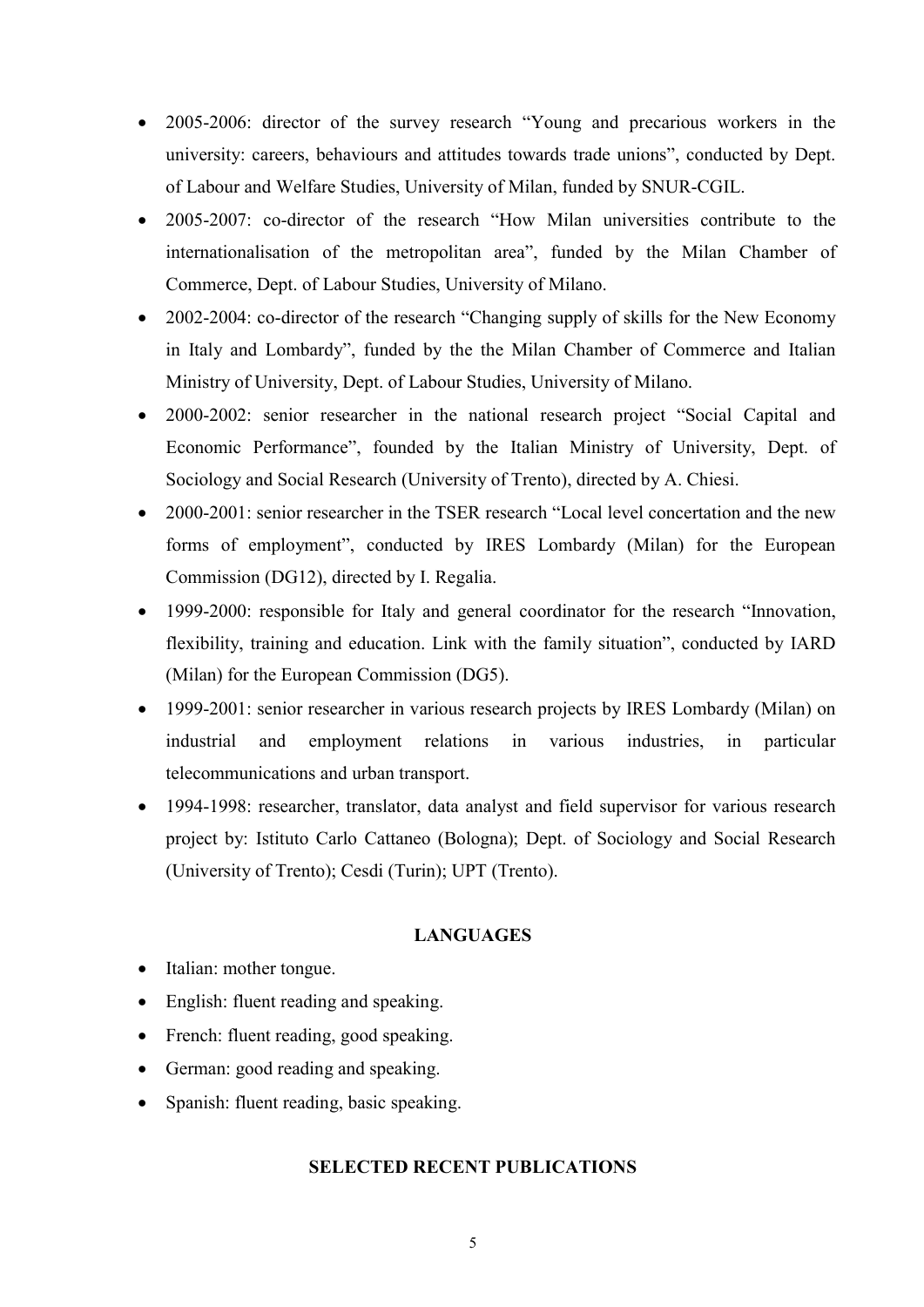- 2005-2006: director of the survey research "Young and precarious workers in the university: careers, behaviours and attitudes towards trade unions", conducted by Dept. of Labour and Welfare Studies, University of Milan, funded by SNUR-CGIL.
- 2005-2007: co-director of the research "How Milan universities contribute to the internationalisation of the metropolitan area", funded by the Milan Chamber of Commerce, Dept. of Labour Studies, University of Milano.
- 2002-2004: co-director of the research "Changing supply of skills for the New Economy in Italy and Lombardy", funded by the the Milan Chamber of Commerce and Italian Ministry of University, Dept. of Labour Studies, University of Milano.
- 2000-2002: senior researcher in the national research project "Social Capital and Economic Performance", founded by the Italian Ministry of University, Dept. of Sociology and Social Research (University of Trento), directed by A. Chiesi.
- 2000-2001: senior researcher in the TSER research "Local level concertation and the new forms of employment", conducted by IRES Lombardy (Milan) for the European Commission (DG12), directed by I. Regalia.
- 1999-2000: responsible for Italy and general coordinator for the research "Innovation, flexibility, training and education. Link with the family situation", conducted by IARD (Milan) for the European Commission (DG5).
- 1999-2001: senior researcher in various research projects by IRES Lombardy (Milan) on industrial and employment relations in various industries, in particular telecommunications and urban transport.
- 1994-1998: researcher, translator, data analyst and field supervisor for various research project by: Istituto Carlo Cattaneo (Bologna); Dept. of Sociology and Social Research (University of Trento); Cesdi (Turin); UPT (Trento).

### **LANGUAGES**

- Italian: mother tongue.
- English: fluent reading and speaking.
- French: fluent reading, good speaking.
- German: good reading and speaking.
- Spanish: fluent reading, basic speaking.

#### SELECTED RECENT PUBLICATIONS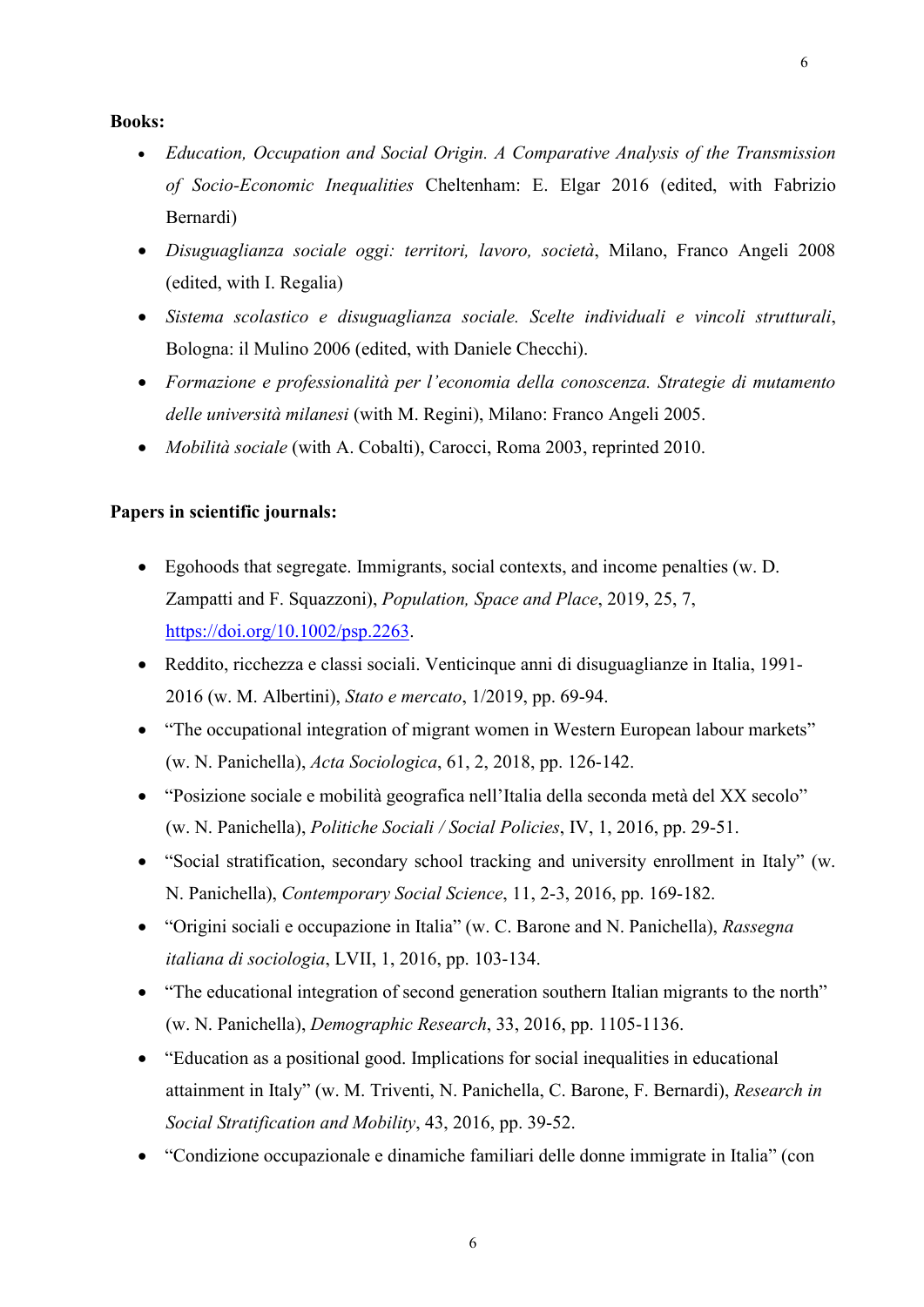#### Books:

- Education, Occupation and Social Origin. A Comparative Analysis of the Transmission of Socio-Economic Inequalities Cheltenham: E. Elgar 2016 (edited, with Fabrizio Bernardi)
- Disuguaglianza sociale oggi: territori, lavoro, società, Milano, Franco Angeli 2008 (edited, with I. Regalia)
- Sistema scolastico e disuguaglianza sociale. Scelte individuali e vincoli strutturali, Bologna: il Mulino 2006 (edited, with Daniele Checchi).
- Formazione e professionalità per l'economia della conoscenza. Strategie di mutamento delle università milanesi (with M. Regini), Milano: Franco Angeli 2005.
- Mobilità sociale (with A. Cobalti), Carocci, Roma 2003, reprinted 2010.

#### Papers in scientific journals:

- Egohoods that segregate. Immigrants, social contexts, and income penalties (w. D. Zampatti and F. Squazzoni), Population, Space and Place, 2019, 25, 7, https://doi.org/10.1002/psp.2263.
- Reddito, ricchezza e classi sociali. Venticinque anni di disuguaglianze in Italia, 1991- 2016 (w. M. Albertini), Stato e mercato, 1/2019, pp. 69-94.
- "The occupational integration of migrant women in Western European labour markets" (w. N. Panichella), Acta Sociologica, 61, 2, 2018, pp. 126-142.
- "Posizione sociale e mobilità geografica nell'Italia della seconda metà del XX secolo" (w. N. Panichella), Politiche Sociali / Social Policies, IV, 1, 2016, pp. 29-51.
- "Social stratification, secondary school tracking and university enrollment in Italy" (w. N. Panichella), Contemporary Social Science, 11, 2-3, 2016, pp. 169-182.
- "Origini sociali e occupazione in Italia" (w. C. Barone and N. Panichella), Rassegna italiana di sociologia, LVII, 1, 2016, pp. 103-134.
- "The educational integration of second generation southern Italian migrants to the north" (w. N. Panichella), Demographic Research, 33, 2016, pp. 1105-1136.
- "Education as a positional good. Implications for social inequalities in educational attainment in Italy" (w. M. Triventi, N. Panichella, C. Barone, F. Bernardi), Research in Social Stratification and Mobility, 43, 2016, pp. 39-52.
- "Condizione occupazionale e dinamiche familiari delle donne immigrate in Italia" (con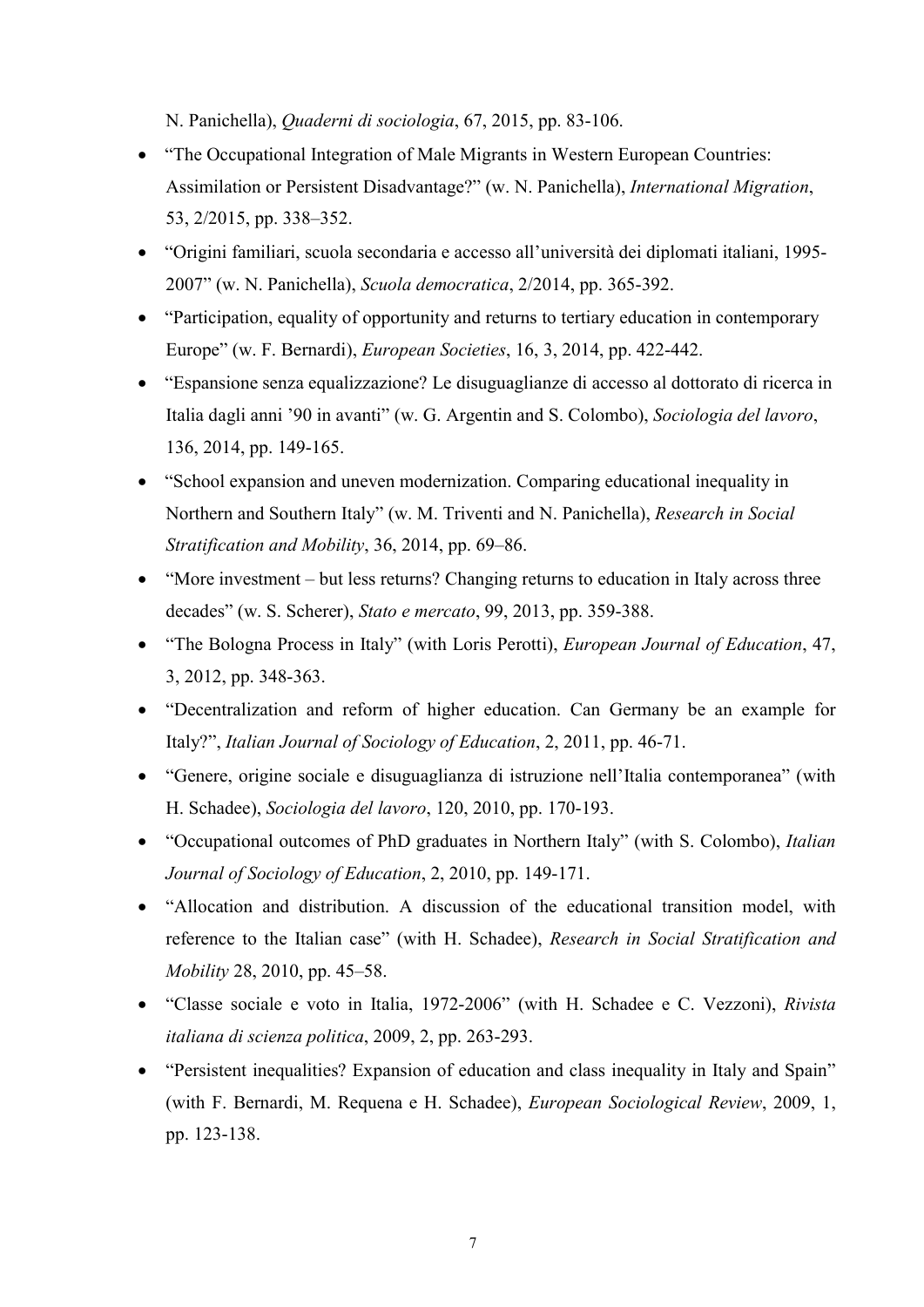N. Panichella), Quaderni di sociologia, 67, 2015, pp. 83-106.

- "The Occupational Integration of Male Migrants in Western European Countries: Assimilation or Persistent Disadvantage?" (w. N. Panichella), International Migration, 53, 2/2015, pp. 338–352.
- "Origini familiari, scuola secondaria e accesso all'università dei diplomati italiani, 1995- 2007" (w. N. Panichella), Scuola democratica, 2/2014, pp. 365-392.
- "Participation, equality of opportunity and returns to tertiary education in contemporary Europe" (w. F. Bernardi), European Societies, 16, 3, 2014, pp. 422-442.
- "Espansione senza equalizzazione? Le disuguaglianze di accesso al dottorato di ricerca in Italia dagli anni '90 in avanti" (w. G. Argentin and S. Colombo), Sociologia del lavoro, 136, 2014, pp. 149-165.
- "School expansion and uneven modernization. Comparing educational inequality in Northern and Southern Italy" (w. M. Triventi and N. Panichella), Research in Social Stratification and Mobility, 36, 2014, pp. 69–86.
- "More investment but less returns? Changing returns to education in Italy across three decades" (w. S. Scherer), Stato e mercato, 99, 2013, pp. 359-388.
- "The Bologna Process in Italy" (with Loris Perotti), *European Journal of Education*, 47, 3, 2012, pp. 348-363.
- "Decentralization and reform of higher education. Can Germany be an example for Italy?", Italian Journal of Sociology of Education, 2, 2011, pp. 46-71.
- "Genere, origine sociale e disuguaglianza di istruzione nell'Italia contemporanea" (with H. Schadee), Sociologia del lavoro, 120, 2010, pp. 170-193.
- "Occupational outcomes of PhD graduates in Northern Italy" (with S. Colombo), Italian Journal of Sociology of Education, 2, 2010, pp. 149-171.
- "Allocation and distribution. A discussion of the educational transition model, with reference to the Italian case" (with H. Schadee), Research in Social Stratification and Mobility 28, 2010, pp. 45–58.
- "Classe sociale e voto in Italia, 1972-2006" (with H. Schadee e C. Vezzoni), Rivista italiana di scienza politica, 2009, 2, pp. 263-293.
- "Persistent inequalities? Expansion of education and class inequality in Italy and Spain" (with F. Bernardi, M. Requena e H. Schadee), European Sociological Review, 2009, 1, pp. 123-138.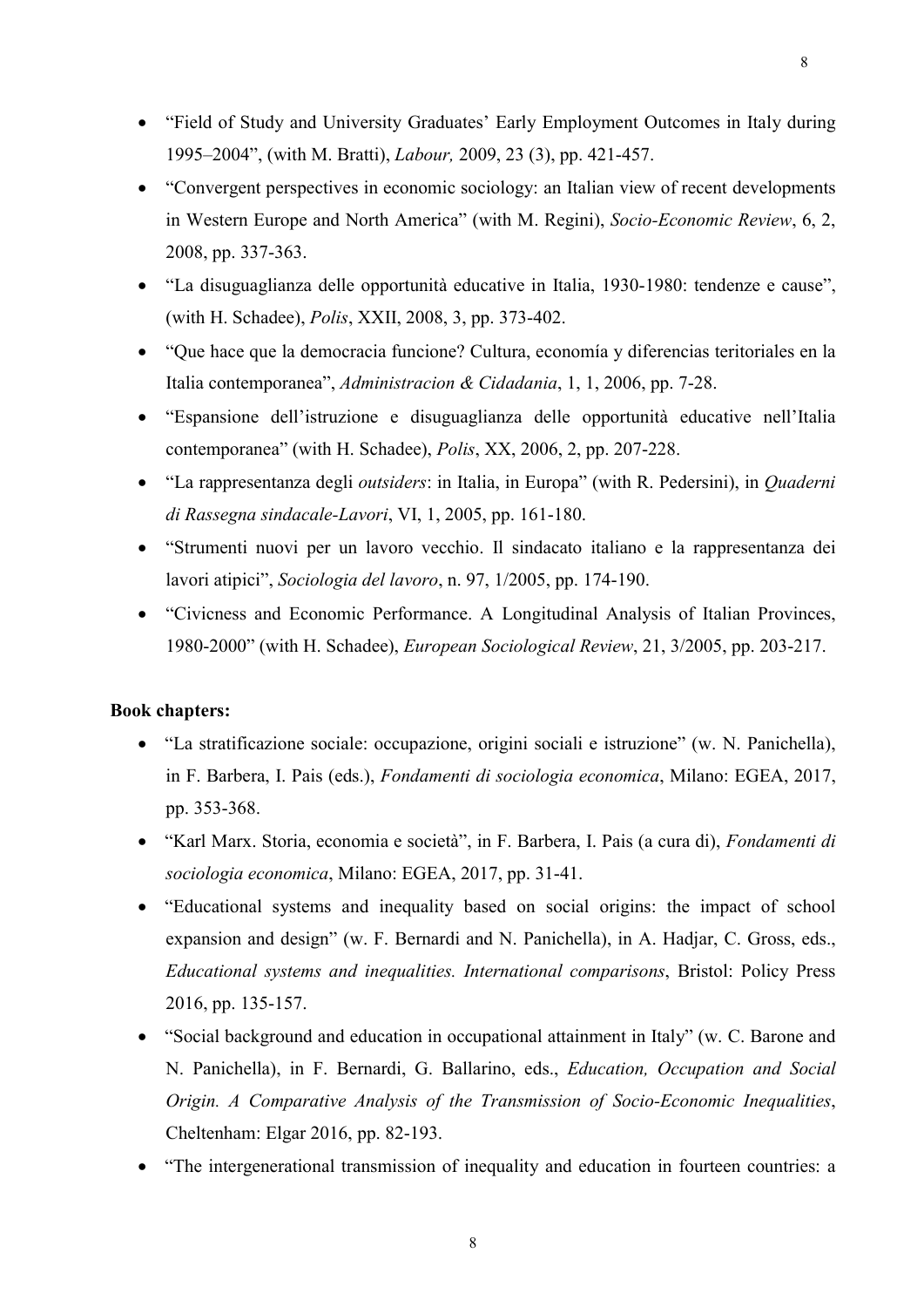- "Field of Study and University Graduates' Early Employment Outcomes in Italy during 1995–2004", (with M. Bratti), Labour, 2009, 23 (3), pp. 421-457.
- "Convergent perspectives in economic sociology: an Italian view of recent developments in Western Europe and North America" (with M. Regini), Socio-Economic Review, 6, 2, 2008, pp. 337-363.
- "La disuguaglianza delle opportunità educative in Italia, 1930-1980: tendenze e cause", (with H. Schadee), Polis, XXII, 2008, 3, pp. 373-402.
- "Que hace que la democracia funcione? Cultura, economía y diferencias teritoriales en la Italia contemporanea", Administracion & Cidadania, 1, 1, 2006, pp. 7-28.
- "Espansione dell'istruzione e disuguaglianza delle opportunità educative nell'Italia contemporanea" (with H. Schadee), Polis, XX, 2006, 2, pp. 207-228.
- "La rappresentanza degli *outsiders*: in Italia, in Europa" (with R. Pedersini), in *Quaderni* di Rassegna sindacale-Lavori, VI, 1, 2005, pp. 161-180.
- "Strumenti nuovi per un lavoro vecchio. Il sindacato italiano e la rappresentanza dei lavori atipici", Sociologia del lavoro, n. 97, 1/2005, pp. 174-190.
- "Civicness and Economic Performance. A Longitudinal Analysis of Italian Provinces, 1980-2000" (with H. Schadee), European Sociological Review, 21, 3/2005, pp. 203-217.

### Book chapters:

- "La stratificazione sociale: occupazione, origini sociali e istruzione" (w. N. Panichella), in F. Barbera, I. Pais (eds.), Fondamenti di sociologia economica, Milano: EGEA, 2017, pp. 353-368.
- "Karl Marx. Storia, economia e società", in F. Barbera, I. Pais (a cura di), Fondamenti di sociologia economica, Milano: EGEA, 2017, pp. 31-41.
- "Educational systems and inequality based on social origins: the impact of school expansion and design" (w. F. Bernardi and N. Panichella), in A. Hadjar, C. Gross, eds., Educational systems and inequalities. International comparisons, Bristol: Policy Press 2016, pp. 135-157.
- "Social background and education in occupational attainment in Italy" (w. C. Barone and N. Panichella), in F. Bernardi, G. Ballarino, eds., Education, Occupation and Social Origin. A Comparative Analysis of the Transmission of Socio-Economic Inequalities, Cheltenham: Elgar 2016, pp. 82-193.
- "The intergenerational transmission of inequality and education in fourteen countries: a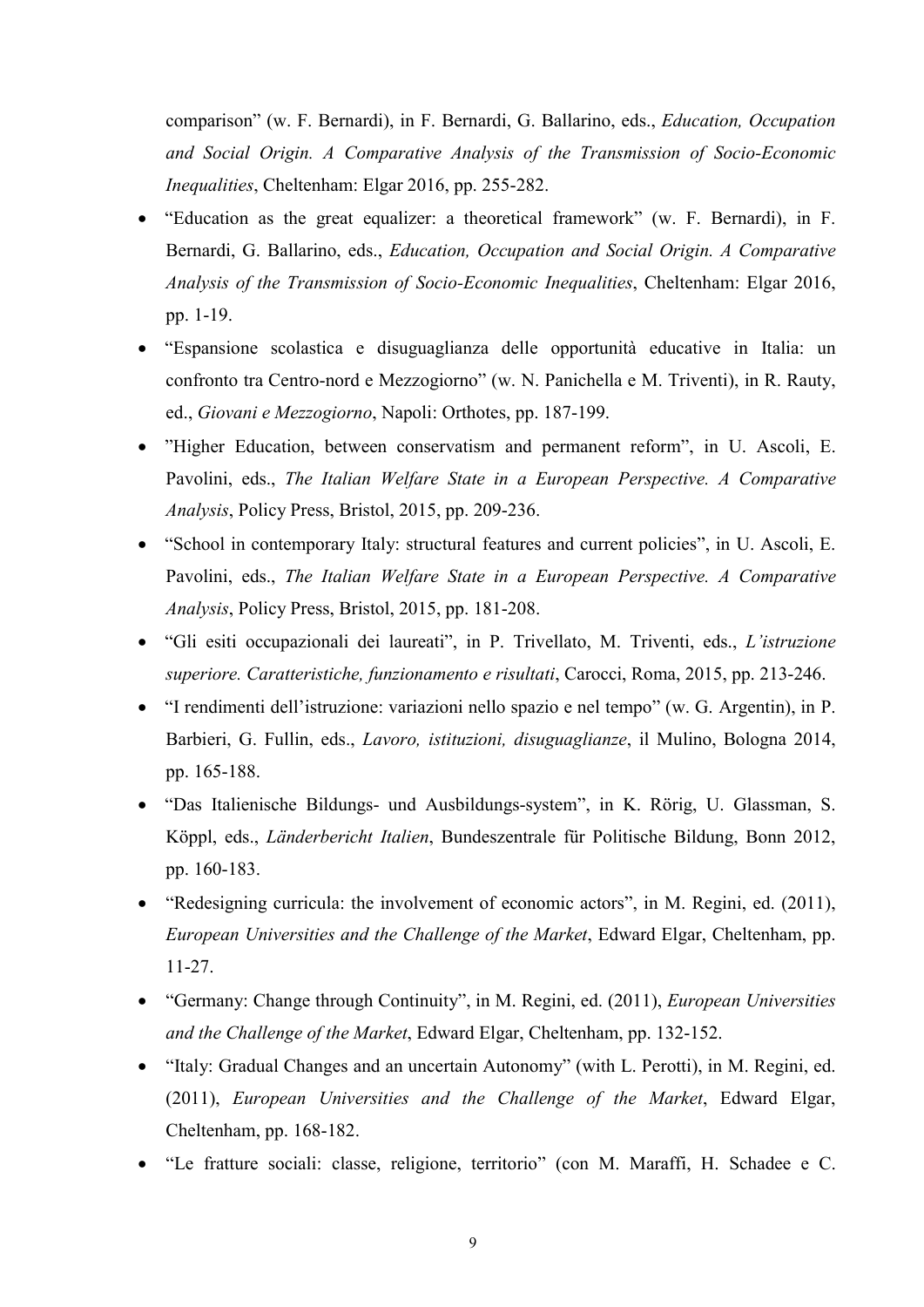comparison" (w. F. Bernardi), in F. Bernardi, G. Ballarino, eds., Education, Occupation and Social Origin. A Comparative Analysis of the Transmission of Socio-Economic Inequalities, Cheltenham: Elgar 2016, pp. 255-282.

- "Education as the great equalizer: a theoretical framework" (w. F. Bernardi), in F. Bernardi, G. Ballarino, eds., Education, Occupation and Social Origin. A Comparative Analysis of the Transmission of Socio-Economic Inequalities, Cheltenham: Elgar 2016, pp. 1-19.
- "Espansione scolastica e disuguaglianza delle opportunità educative in Italia: un confronto tra Centro-nord e Mezzogiorno" (w. N. Panichella e M. Triventi), in R. Rauty, ed., Giovani e Mezzogiorno, Napoli: Orthotes, pp. 187-199.
- "Higher Education, between conservatism and permanent reform", in U. Ascoli, E. Pavolini, eds., The Italian Welfare State in a European Perspective. A Comparative Analysis, Policy Press, Bristol, 2015, pp. 209-236.
- "School in contemporary Italy: structural features and current policies", in U. Ascoli, E. Pavolini, eds., The Italian Welfare State in a European Perspective. A Comparative Analysis, Policy Press, Bristol, 2015, pp. 181-208.
- "Gli esiti occupazionali dei laureati", in P. Trivellato, M. Triventi, eds., L'istruzione superiore. Caratteristiche, funzionamento e risultati, Carocci, Roma, 2015, pp. 213-246.
- "I rendimenti dell'istruzione: variazioni nello spazio e nel tempo" (w. G. Argentin), in P. Barbieri, G. Fullin, eds., Lavoro, istituzioni, disuguaglianze, il Mulino, Bologna 2014, pp. 165-188.
- "Das Italienische Bildungs- und Ausbildungs-system", in K. Rörig, U. Glassman, S. Köppl, eds., Länderbericht Italien, Bundeszentrale für Politische Bildung, Bonn 2012, pp. 160-183.
- "Redesigning curricula: the involvement of economic actors", in M. Regini, ed. (2011), European Universities and the Challenge of the Market, Edward Elgar, Cheltenham, pp. 11-27.
- "Germany: Change through Continuity", in M. Regini, ed. (2011), European Universities and the Challenge of the Market, Edward Elgar, Cheltenham, pp. 132-152.
- "Italy: Gradual Changes and an uncertain Autonomy" (with L. Perotti), in M. Regini, ed. (2011), European Universities and the Challenge of the Market, Edward Elgar, Cheltenham, pp. 168-182.
- "Le fratture sociali: classe, religione, territorio" (con M. Maraffi, H. Schadee e C.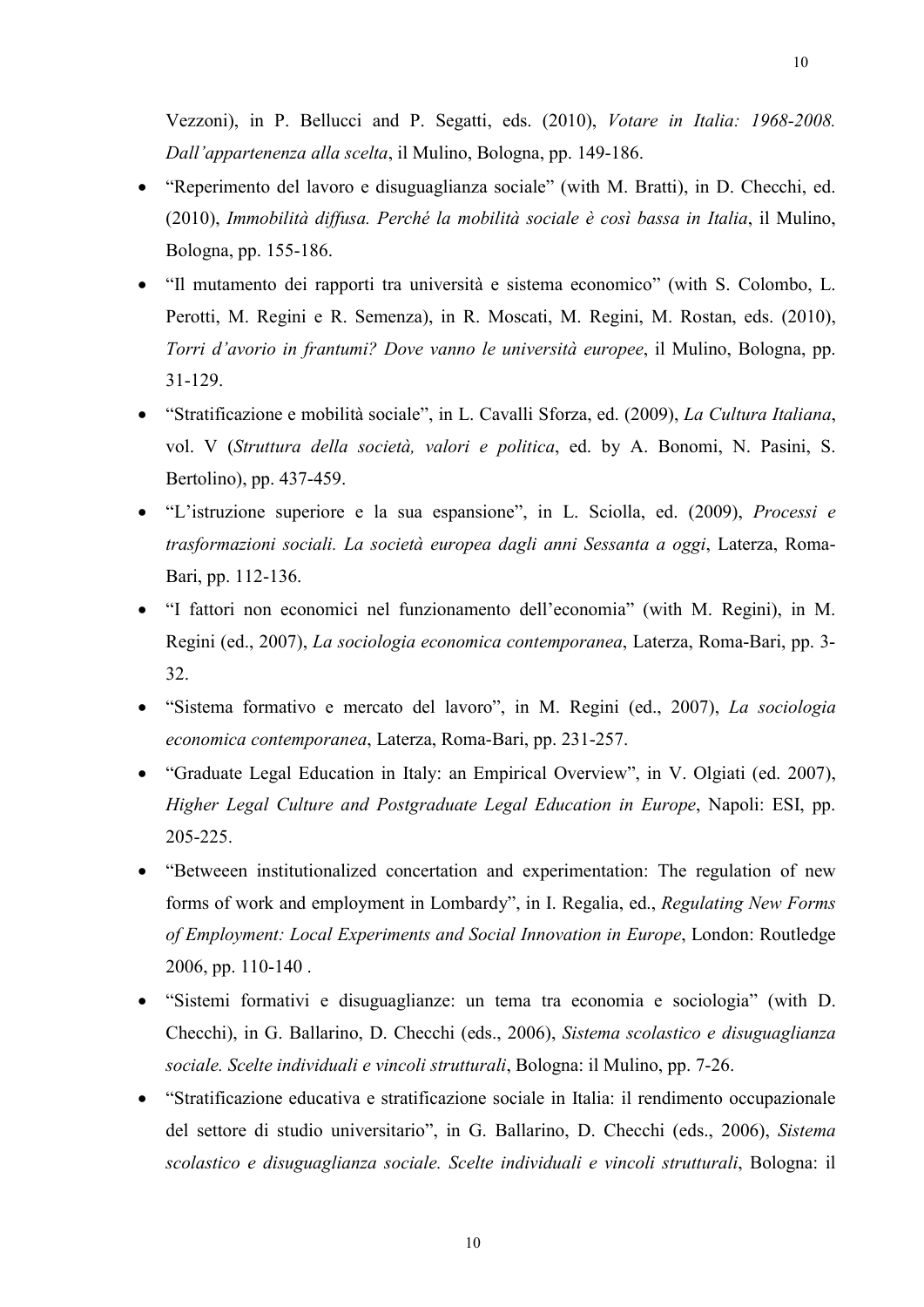Vezzoni), in P. Bellucci and P. Segatti, eds. (2010), Votare in Italia: 1968-2008. Dall'appartenenza alla scelta, il Mulino, Bologna, pp. 149-186.

- "Reperimento del lavoro e disuguaglianza sociale" (with M. Bratti), in D. Checchi, ed. (2010), Immobilità diffusa. Perché la mobilità sociale è così bassa in Italia, il Mulino, Bologna, pp. 155-186.
- "Il mutamento dei rapporti tra università e sistema economico" (with S. Colombo, L. Perotti, M. Regini e R. Semenza), in R. Moscati, M. Regini, M. Rostan, eds. (2010), Torri d'avorio in frantumi? Dove vanno le università europee, il Mulino, Bologna, pp. 31-129.
- "Stratificazione e mobilità sociale", in L. Cavalli Sforza, ed. (2009), La Cultura Italiana, vol. V (Struttura della società, valori e politica, ed. by A. Bonomi, N. Pasini, S. Bertolino), pp. 437-459.
- "L'istruzione superiore e la sua espansione", in L. Sciolla, ed. (2009), Processi e trasformazioni sociali. La società europea dagli anni Sessanta a oggi, Laterza, Roma-Bari, pp. 112-136.
- "I fattori non economici nel funzionamento dell'economia" (with M. Regini), in M. Regini (ed., 2007), La sociologia economica contemporanea, Laterza, Roma-Bari, pp. 3- 32.
- "Sistema formativo e mercato del lavoro", in M. Regini (ed., 2007), La sociologia economica contemporanea, Laterza, Roma-Bari, pp. 231-257.
- "Graduate Legal Education in Italy: an Empirical Overview", in V. Olgiati (ed. 2007), Higher Legal Culture and Postgraduate Legal Education in Europe, Napoli: ESI, pp. 205-225.
- "Betweeen institutionalized concertation and experimentation: The regulation of new forms of work and employment in Lombardy", in I. Regalia, ed., Regulating New Forms of Employment: Local Experiments and Social Innovation in Europe, London: Routledge 2006, pp. 110-140 .
- "Sistemi formativi e disuguaglianze: un tema tra economia e sociologia" (with D. Checchi), in G. Ballarino, D. Checchi (eds., 2006), Sistema scolastico e disuguaglianza sociale. Scelte individuali e vincoli strutturali, Bologna: il Mulino, pp. 7-26.
- "Stratificazione educativa e stratificazione sociale in Italia: il rendimento occupazionale del settore di studio universitario", in G. Ballarino, D. Checchi (eds., 2006), Sistema scolastico e disuguaglianza sociale. Scelte individuali e vincoli strutturali, Bologna: il